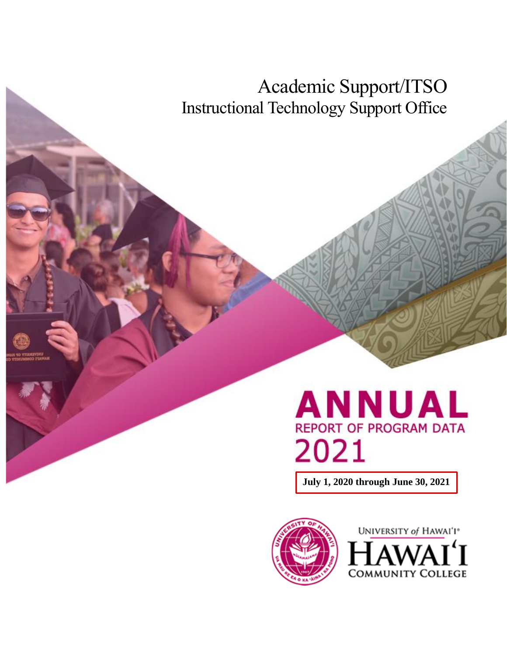Academic Support/ITSO Instructional Technology Support Office

# **ANNUAL**<br>REPORT OF PROGRAM DATA 2021

**July 1, 2020 through June 30, 2021**



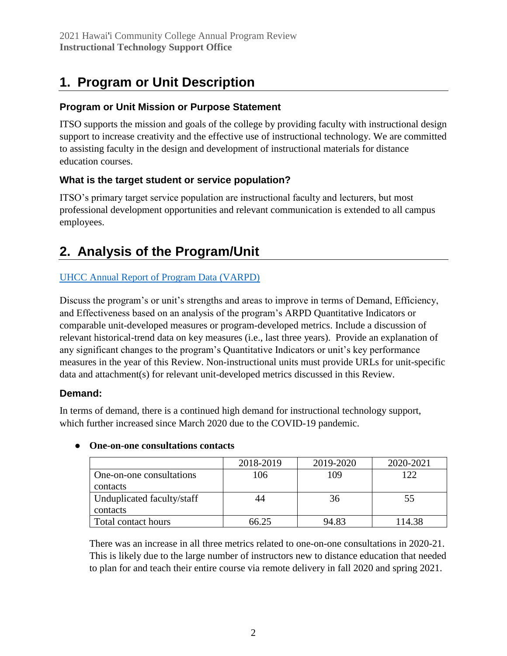# **1. Program or Unit Description**

#### **Program or Unit Mission or Purpose Statement**

ITSO supports the mission and goals of the college by providing faculty with instructional design support to increase creativity and the effective use of instructional technology. We are committed to assisting faculty in the design and development of instructional materials for distance education courses.

## **What is the target student or service population?**

ITSO's primary target service population are instructional faculty and lecturers, but most professional development opportunities and relevant communication is extended to all campus employees.

# **2. Analysis of the Program/Unit**

## [UHCC Annual Report of Program Data \(VARPD\)](https://uhcc.hawaii.edu/varpd/)

Discuss the program's or unit's strengths and areas to improve in terms of Demand, Efficiency, and Effectiveness based on an analysis of the program's ARPD Quantitative Indicators or comparable unit-developed measures or program-developed metrics. Include a discussion of relevant historical-trend data on key measures (i.e., last three years). Provide an explanation of any significant changes to the program's Quantitative Indicators or unit's key performance measures in the year of this Review. Non-instructional units must provide URLs for unit-specific data and attachment(s) for relevant unit-developed metrics discussed in this Review.

#### **Demand:**

In terms of demand, there is a continued high demand for instructional technology support, which further increased since March 2020 due to the COVID-19 pandemic.

|                            | 2018-2019 | 2019-2020 | 2020-2021 |
|----------------------------|-----------|-----------|-----------|
| One-on-one consultations   | 106       | 109       | 122       |
| contacts                   |           |           |           |
| Unduplicated faculty/staff | 44        | 36        | 55        |
| contacts                   |           |           |           |
| Total contact hours        | 66.25     | 94.83     | 114.38    |

#### ● **One-on-one consultations contacts**

There was an increase in all three metrics related to one-on-one consultations in 2020-21. This is likely due to the large number of instructors new to distance education that needed to plan for and teach their entire course via remote delivery in fall 2020 and spring 2021.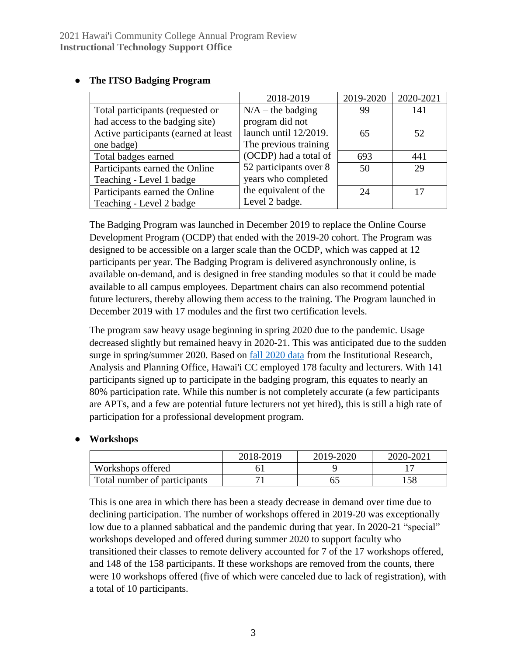|                                      | 2018-2019              | 2019-2020 | 2020-2021 |
|--------------------------------------|------------------------|-----------|-----------|
| Total participants (requested or     | $N/A$ – the badging    | 99        | 141       |
| had access to the badging site)      | program did not        |           |           |
| Active participants (earned at least | launch until 12/2019.  | 65        | 52        |
| one badge)                           | The previous training  |           |           |
| Total badges earned                  | (OCDP) had a total of  | 693       | 441       |
| Participants earned the Online       | 52 participants over 8 | 50        | 29        |
| Teaching - Level 1 badge             | years who completed    |           |           |
| Participants earned the Online       | the equivalent of the  | 24        |           |
| Teaching - Level 2 badge             | Level 2 badge.         |           |           |

#### ● **The ITSO Badging Program**

The Badging Program was launched in December 2019 to replace the Online Course Development Program (OCDP) that ended with the 2019-20 cohort. The Program was designed to be accessible on a larger scale than the OCDP, which was capped at 12 participants per year. The Badging Program is delivered asynchronously online, is available on-demand, and is designed in free standing modules so that it could be made available to all campus employees. Department chairs can also recommend potential future lecturers, thereby allowing them access to the training. The Program launched in December 2019 with 17 modules and the first two certification levels.

The program saw heavy usage beginning in spring 2020 due to the pandemic. Usage decreased slightly but remained heavy in 2020-21. This was anticipated due to the sudden surge in spring/summer 2020. Based on **fall 2020** data from the Institutional Research, Analysis and Planning Office, Hawai'i CC employed 178 faculty and lecturers. With 141 participants signed up to participate in the badging program, this equates to nearly an 80% participation rate. While this number is not completely accurate (a few participants are APTs, and a few are potential future lecturers not yet hired), this is still a high rate of participation for a professional development program.

#### ● **Workshops**

|                              | 2018-2019 | 2019-2020 | 2020-2021 |
|------------------------------|-----------|-----------|-----------|
| Workshops offered            |           |           |           |
| Total number of participants |           |           | 58        |

This is one area in which there has been a steady decrease in demand over time due to declining participation. The number of workshops offered in 2019-20 was exceptionally low due to a planned sabbatical and the pandemic during that year. In 2020-21 "special" workshops developed and offered during summer 2020 to support faculty who transitioned their classes to remote delivery accounted for 7 of the 17 workshops offered, and 148 of the 158 participants. If these workshops are removed from the counts, there were 10 workshops offered (five of which were canceled due to lack of registration), with a total of 10 participants.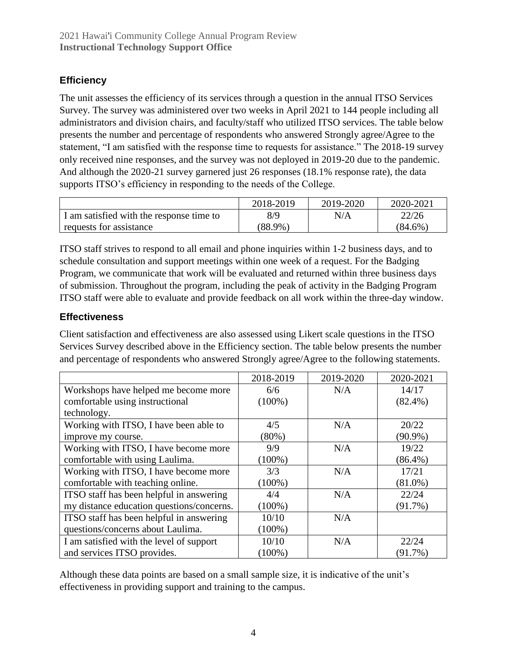## **Efficiency**

The unit assesses the efficiency of its services through a question in the annual ITSO Services Survey. The survey was administered over two weeks in April 2021 to 144 people including all administrators and division chairs, and faculty/staff who utilized ITSO services. The table below presents the number and percentage of respondents who answered Strongly agree/Agree to the statement, "I am satisfied with the response time to requests for assistance." The 2018-19 survey only received nine responses, and the survey was not deployed in 2019-20 due to the pandemic. And although the 2020-21 survey garnered just 26 responses (18.1% response rate), the data supports ITSO's efficiency in responding to the needs of the College.

|                                          | 2018-2019  | 2019-2020 | 2020-2021  |
|------------------------------------------|------------|-----------|------------|
| I am satisfied with the response time to | 8/9        | N/A       | 22/26      |
| requests for assistance                  | $(88.9\%)$ |           | $(84.6\%)$ |

ITSO staff strives to respond to all email and phone inquiries within 1-2 business days, and to schedule consultation and support meetings within one week of a request. For the Badging Program, we communicate that work will be evaluated and returned within three business days of submission. Throughout the program, including the peak of activity in the Badging Program ITSO staff were able to evaluate and provide feedback on all work within the three-day window.

#### **Effectiveness**

Client satisfaction and effectiveness are also assessed using Likert scale questions in the ITSO Services Survey described above in the Efficiency section. The table below presents the number and percentage of respondents who answered Strongly agree/Agree to the following statements.

|                                           | 2018-2019 | 2019-2020 | 2020-2021  |
|-------------------------------------------|-----------|-----------|------------|
| Workshops have helped me become more      | 6/6       | N/A       | 14/17      |
| comfortable using instructional           | $(100\%)$ |           | $(82.4\%)$ |
| technology.                               |           |           |            |
| Working with ITSO, I have been able to    | 4/5       | N/A       | 20/22      |
| improve my course.                        | $(80\%)$  |           | $(90.9\%)$ |
| Working with ITSO, I have become more     | 9/9       | N/A       | 19/22      |
| comfortable with using Laulima.           | $(100\%)$ |           | $(86.4\%)$ |
| Working with ITSO, I have become more     | 3/3       | N/A       | 17/21      |
| comfortable with teaching online.         | $(100\%)$ |           | $(81.0\%)$ |
| ITSO staff has been helpful in answering  | 4/4       | N/A       | 22/24      |
| my distance education questions/concerns. | $(100\%)$ |           | $(91.7\%)$ |
| ITSO staff has been helpful in answering  | 10/10     | N/A       |            |
| questions/concerns about Laulima.         | $(100\%)$ |           |            |
| I am satisfied with the level of support  | 10/10     | N/A       | 22/24      |
| and services ITSO provides.               | $(100\%)$ |           | $(91.7\%)$ |

Although these data points are based on a small sample size, it is indicative of the unit's effectiveness in providing support and training to the campus.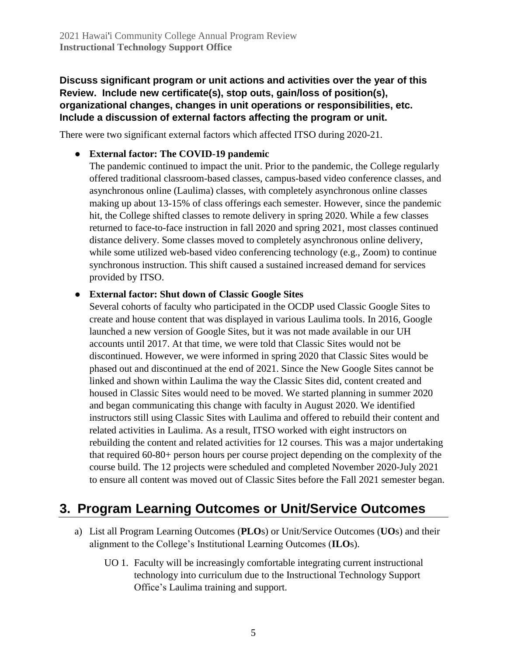#### **Discuss significant program or unit actions and activities over the year of this Review. Include new certificate(s), stop outs, gain/loss of position(s), organizational changes, changes in unit operations or responsibilities, etc. Include a discussion of external factors affecting the program or unit.**

There were two significant external factors which affected ITSO during 2020-21.

#### ● **External factor: The COVID-19 pandemic**

The pandemic continued to impact the unit. Prior to the pandemic, the College regularly offered traditional classroom-based classes, campus-based video conference classes, and asynchronous online (Laulima) classes, with completely asynchronous online classes making up about 13-15% of class offerings each semester. However, since the pandemic hit, the College shifted classes to remote delivery in spring 2020. While a few classes returned to face-to-face instruction in fall 2020 and spring 2021, most classes continued distance delivery. Some classes moved to completely asynchronous online delivery, while some utilized web-based video conferencing technology (e.g., Zoom) to continue synchronous instruction. This shift caused a sustained increased demand for services provided by ITSO.

#### ● **External factor: Shut down of Classic Google Sites**

Several cohorts of faculty who participated in the OCDP used Classic Google Sites to create and house content that was displayed in various Laulima tools. In 2016, Google launched a new version of Google Sites, but it was not made available in our UH accounts until 2017. At that time, we were told that Classic Sites would not be discontinued. However, we were informed in spring 2020 that Classic Sites would be phased out and discontinued at the end of 2021. Since the New Google Sites cannot be linked and shown within Laulima the way the Classic Sites did, content created and housed in Classic Sites would need to be moved. We started planning in summer 2020 and began communicating this change with faculty in August 2020. We identified instructors still using Classic Sites with Laulima and offered to rebuild their content and related activities in Laulima. As a result, ITSO worked with eight instructors on rebuilding the content and related activities for 12 courses. This was a major undertaking that required 60-80+ person hours per course project depending on the complexity of the course build. The 12 projects were scheduled and completed November 2020-July 2021 to ensure all content was moved out of Classic Sites before the Fall 2021 semester began.

# **3. Program Learning Outcomes or Unit/Service Outcomes**

- a) List all Program Learning Outcomes (**PLO**s) or Unit/Service Outcomes (**UO**s) and their alignment to the College's Institutional Learning Outcomes (**ILO**s).
	- UO 1. Faculty will be increasingly comfortable integrating current instructional technology into curriculum due to the Instructional Technology Support Office's Laulima training and support.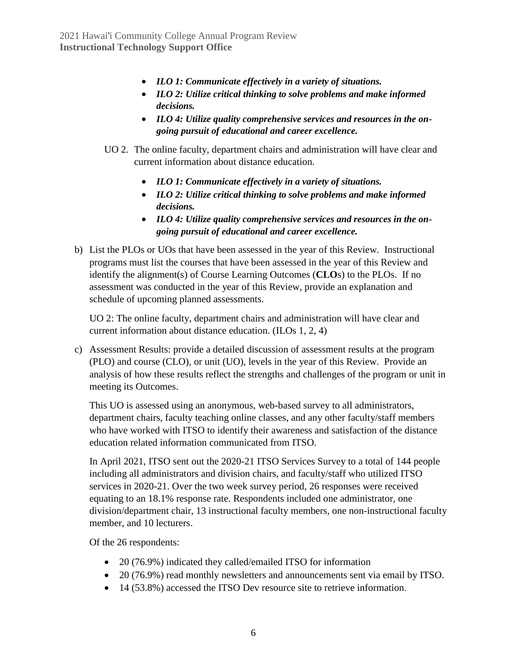- *ILO 1: Communicate effectively in a variety of situations.*
- *ILO 2: Utilize critical thinking to solve problems and make informed decisions.*
- *ILO 4: Utilize quality comprehensive services and resources in the ongoing pursuit of educational and career excellence.*
- UO 2. The online faculty, department chairs and administration will have clear and current information about distance education.
	- *ILO 1: Communicate effectively in a variety of situations.*
	- *ILO 2: Utilize critical thinking to solve problems and make informed decisions.*
	- *ILO 4: Utilize quality comprehensive services and resources in the ongoing pursuit of educational and career excellence.*
- b) List the PLOs or UOs that have been assessed in the year of this Review. Instructional programs must list the courses that have been assessed in the year of this Review and identify the alignment(s) of Course Learning Outcomes (**CLO**s) to the PLOs. If no assessment was conducted in the year of this Review, provide an explanation and schedule of upcoming planned assessments.

UO 2: The online faculty, department chairs and administration will have clear and current information about distance education. (ILOs 1, 2, 4)

c) Assessment Results: provide a detailed discussion of assessment results at the program (PLO) and course (CLO), or unit (UO), levels in the year of this Review. Provide an analysis of how these results reflect the strengths and challenges of the program or unit in meeting its Outcomes.

This UO is assessed using an anonymous, web-based survey to all administrators, department chairs, faculty teaching online classes, and any other faculty/staff members who have worked with ITSO to identify their awareness and satisfaction of the distance education related information communicated from ITSO.

In April 2021, ITSO sent out the 2020-21 ITSO Services Survey to a total of 144 people including all administrators and division chairs, and faculty/staff who utilized ITSO services in 2020-21. Over the two week survey period, 26 responses were received equating to an 18.1% response rate. Respondents included one administrator, one division/department chair, 13 instructional faculty members, one non-instructional faculty member, and 10 lecturers.

Of the 26 respondents:

- 20 (76.9%) indicated they called/emailed ITSO for information
- 20 (76.9%) read monthly newsletters and announcements sent via email by ITSO.
- 14 (53.8%) accessed the ITSO Dev resource site to retrieve information.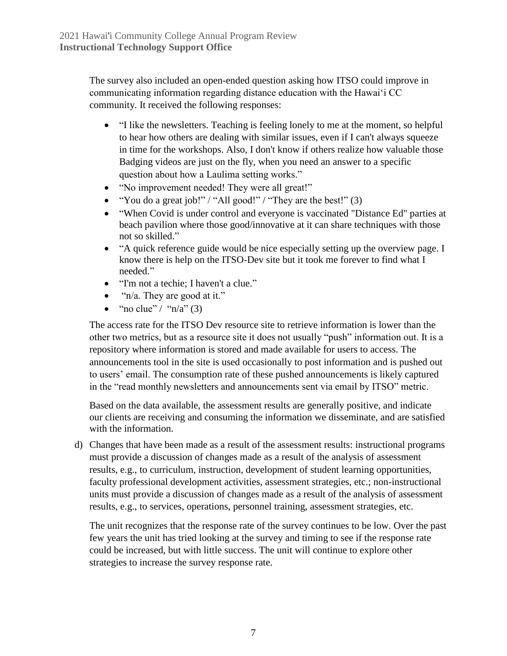The survey also included an open-ended question asking how ITSO could improve in communicating information regarding distance education with the Hawai'i CC community. It received the following responses:

- "I like the newsletters. Teaching is feeling lonely to me at the moment, so helpful to hear how others are dealing with similar issues, even if I can't always squeeze in time for the workshops. Also, I don't know if others realize how valuable those Badging videos are just on the fly, when you need an answer to a specific question about how a Laulima setting works."
- "No improvement needed! They were all great!"
- "You do a great job!" / "All good!" / "They are the best!" (3)
- "When Covid is under control and everyone is vaccinated "Distance Ed" parties at beach pavilion where those good/innovative at it can share techniques with those not so skilled."
- "A quick reference guide would be nice especially setting up the overview page. I know there is help on the ITSO-Dev site but it took me forever to find what I needed."
- "I'm not a techie; I haven't a clue."
- "n/a. They are good at it."
- "no clue" / " $n/a$ " (3)

The access rate for the ITSO Dev resource site to retrieve information is lower than the other two metrics, but as a resource site it does not usually "push" information out. It is a repository where information is stored and made available for users to access. The announcements tool in the site is used occasionally to post information and is pushed out to users' email. The consumption rate of these pushed announcements is likely captured in the "read monthly newsletters and announcements sent via email by ITSO" metric.

Based on the data available, the assessment results are generally positive, and indicate our clients are receiving and consuming the information we disseminate, and are satisfied with the information.

d) Changes that have been made as a result of the assessment results: instructional programs must provide a discussion of changes made as a result of the analysis of assessment results, e.g., to curriculum, instruction, development of student learning opportunities, faculty professional development activities, assessment strategies, etc.; non-instructional units must provide a discussion of changes made as a result of the analysis of assessment results, e.g., to services, operations, personnel training, assessment strategies, etc.

The unit recognizes that the response rate of the survey continues to be low. Over the past few years the unit has tried looking at the survey and timing to see if the response rate could be increased, but with little success. The unit will continue to explore other strategies to increase the survey response rate.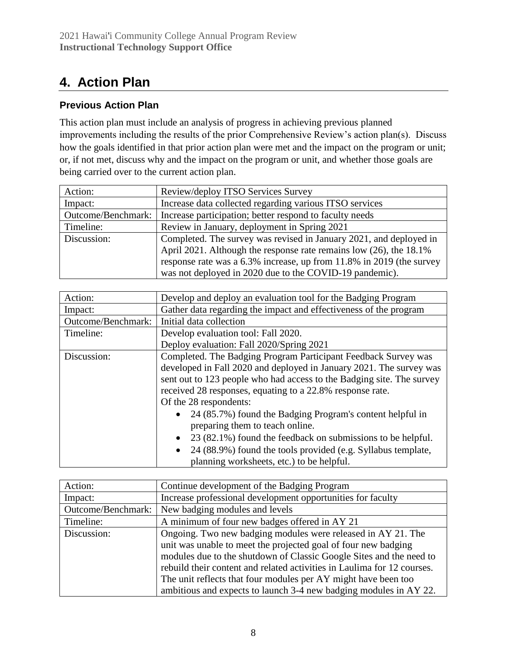# **4. Action Plan**

## **Previous Action Plan**

This action plan must include an analysis of progress in achieving previous planned improvements including the results of the prior Comprehensive Review's action plan(s). Discuss how the goals identified in that prior action plan were met and the impact on the program or unit; or, if not met, discuss why and the impact on the program or unit, and whether those goals are being carried over to the current action plan.

| Action:            | Review/deploy ITSO Services Survey                                   |
|--------------------|----------------------------------------------------------------------|
| Impact:            | Increase data collected regarding various ITSO services              |
| Outcome/Benchmark: | Increase participation; better respond to faculty needs              |
| Timeline:          | Review in January, deployment in Spring 2021                         |
| Discussion:        | Completed. The survey was revised in January 2021, and deployed in   |
|                    | April 2021. Although the response rate remains low (26), the 18.1%   |
|                    | response rate was a 6.3% increase, up from 11.8% in 2019 (the survey |
|                    | was not deployed in 2020 due to the COVID-19 pandemic).              |

| Action:            | Develop and deploy an evaluation tool for the Badging Program                                                                                                                                                                                                                                                                                                                                                                                                                                                                                                                                  |  |  |
|--------------------|------------------------------------------------------------------------------------------------------------------------------------------------------------------------------------------------------------------------------------------------------------------------------------------------------------------------------------------------------------------------------------------------------------------------------------------------------------------------------------------------------------------------------------------------------------------------------------------------|--|--|
| Impact:            | Gather data regarding the impact and effectiveness of the program                                                                                                                                                                                                                                                                                                                                                                                                                                                                                                                              |  |  |
| Outcome/Benchmark: | Initial data collection                                                                                                                                                                                                                                                                                                                                                                                                                                                                                                                                                                        |  |  |
| Timeline:          | Develop evaluation tool: Fall 2020.                                                                                                                                                                                                                                                                                                                                                                                                                                                                                                                                                            |  |  |
|                    | Deploy evaluation: Fall 2020/Spring 2021                                                                                                                                                                                                                                                                                                                                                                                                                                                                                                                                                       |  |  |
| Discussion:        | Completed. The Badging Program Participant Feedback Survey was<br>developed in Fall 2020 and deployed in January 2021. The survey was<br>sent out to 123 people who had access to the Badging site. The survey<br>received 28 responses, equating to a 22.8% response rate.<br>Of the 28 respondents:<br>24 (85.7%) found the Badging Program's content helpful in<br>preparing them to teach online.<br>23 (82.1%) found the feedback on submissions to be helpful.<br>$\bullet$<br>24 (88.9%) found the tools provided (e.g. Syllabus template,<br>planning worksheets, etc.) to be helpful. |  |  |

| Action:            | Continue development of the Badging Program                             |
|--------------------|-------------------------------------------------------------------------|
| Impact:            | Increase professional development opportunities for faculty             |
| Outcome/Benchmark: | New badging modules and levels                                          |
| Timeline:          | A minimum of four new badges offered in AY 21                           |
| Discussion:        | Ongoing. Two new badging modules were released in AY 21. The            |
|                    | unit was unable to meet the projected goal of four new badging          |
|                    | modules due to the shutdown of Classic Google Sites and the need to     |
|                    | rebuild their content and related activities in Laulima for 12 courses. |
|                    | The unit reflects that four modules per AY might have been too          |
|                    | ambitious and expects to launch 3-4 new badging modules in AY 22.       |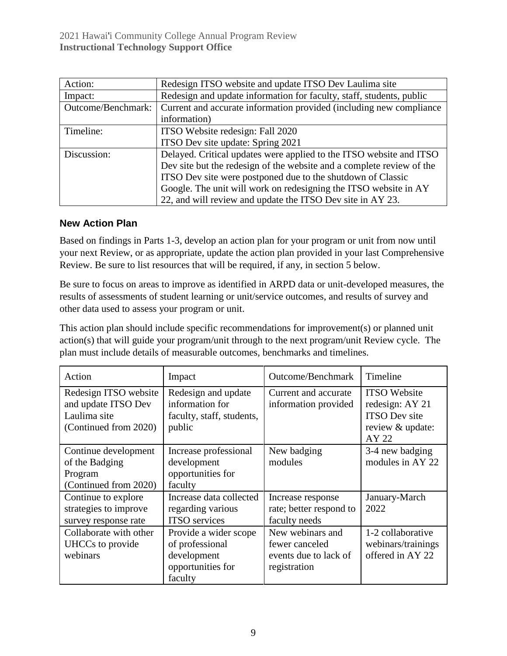| Action:            | Redesign ITSO website and update ITSO Dev Laulima site                |  |  |
|--------------------|-----------------------------------------------------------------------|--|--|
| Impact:            | Redesign and update information for faculty, staff, students, public  |  |  |
| Outcome/Benchmark: | Current and accurate information provided (including new compliance   |  |  |
|                    | information)                                                          |  |  |
| Timeline:          | ITSO Website redesign: Fall 2020                                      |  |  |
|                    | ITSO Dev site update: Spring 2021                                     |  |  |
| Discussion:        | Delayed. Critical updates were applied to the ITSO website and ITSO   |  |  |
|                    | Dev site but the redesign of the website and a complete review of the |  |  |
|                    | ITSO Dev site were postponed due to the shutdown of Classic           |  |  |
|                    | Google. The unit will work on redesigning the ITSO website in AY      |  |  |
|                    | 22, and will review and update the ITSO Dev site in AY 23.            |  |  |

#### **New Action Plan**

Based on findings in Parts 1-3, develop an action plan for your program or unit from now until your next Review, or as appropriate, update the action plan provided in your last Comprehensive Review. Be sure to list resources that will be required, if any, in section 5 below.

Be sure to focus on areas to improve as identified in ARPD data or unit-developed measures, the results of assessments of student learning or unit/service outcomes, and results of survey and other data used to assess your program or unit.

This action plan should include specific recommendations for improvement(s) or planned unit action(s) that will guide your program/unit through to the next program/unit Review cycle. The plan must include details of measurable outcomes, benchmarks and timelines.

| Action                                                                                | Impact                                                                                  | Outcome/Benchmark                                                           | Timeline                                                                                    |
|---------------------------------------------------------------------------------------|-----------------------------------------------------------------------------------------|-----------------------------------------------------------------------------|---------------------------------------------------------------------------------------------|
| Redesign ITSO website<br>and update ITSO Dev<br>Laulima site<br>(Continued from 2020) | Redesign and update<br>information for<br>faculty, staff, students,<br>public           | Current and accurate<br>information provided                                | <b>ITSO</b> Website<br>redesign: AY 21<br><b>ITSO</b> Dev site<br>review & update:<br>AY 22 |
| Continue development<br>of the Badging<br>Program<br>(Continued from 2020)            | Increase professional<br>development<br>opportunities for<br>faculty                    | New badging<br>modules                                                      | 3-4 new badging<br>modules in AY 22                                                         |
| Continue to explore<br>strategies to improve<br>survey response rate                  | Increase data collected<br>regarding various<br><b>ITSO</b> services                    | Increase response<br>rate; better respond to<br>faculty needs               | January-March<br>2022                                                                       |
| Collaborate with other<br>UHCCs to provide<br>webinars                                | Provide a wider scope<br>of professional<br>development<br>opportunities for<br>faculty | New webinars and<br>fewer canceled<br>events due to lack of<br>registration | 1-2 collaborative<br>webinars/trainings<br>offered in AY 22                                 |